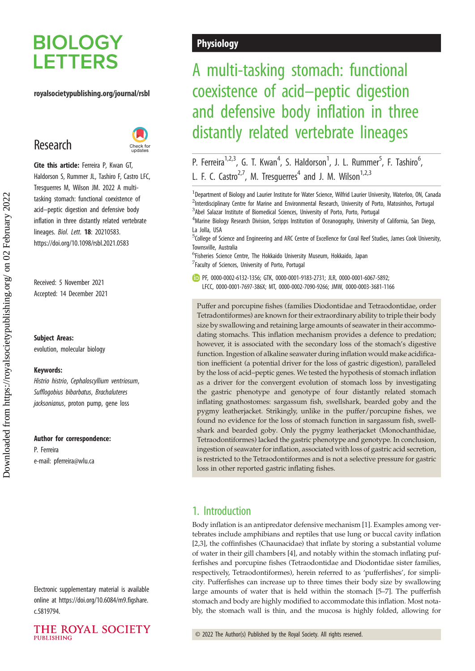# **BIOLOGY LETTERS**

## royalsocietypublishing.org/journal/rsbl

## Research



Cite this article: Ferreira P, Kwan GT, Haldorson S, Rummer JL, Tashiro F, Castro LFC, Tresguerres M, Wilson JM. 2022 A multitasking stomach: functional coexistence of acid–peptic digestion and defensive body inflation in three distantly related vertebrate lineages. Biol. Lett. 18: 20210583. https://doi.org/10.1098/rsbl.2021.0583

Received: 5 November 2021 Accepted: 14 December 2021

Subject Areas:

evolution, molecular biology

#### Keywords:

Histrio histrio, Cephaloscyllium ventriosum, Sufflogobius bibarbatus, Brachaluteres jacksonianus, proton pump, gene loss

#### Author for correspondence:

P. Ferreira e-mail: [pferreira@wlu.ca](mailto:pferreira@wlu.ca)

Electronic supplementary material is available online at [https://doi.org/10.6084/m9.figshare.](https://doi.org/10.6084/m9.figshare.c.5819794) [c.5819794.](https://doi.org/10.6084/m9.figshare.c.5819794)

### THE ROYAL SOCIETY **PUBLISHING**

## **Physiology**

## A multi-tasking stomach: functional coexistence of acid–peptic digestion and defensive body inflation in three distantly related vertebrate lineages

P. Ferreira<sup>1,2,3</sup>, G. T. Kwan<sup>4</sup>, S. Haldorson<sup>1</sup>, J. L. Rummer<sup>5</sup>, F. Tashiro<sup>6</sup> י<br>, L. F. C. Castro<sup>2,7</sup>, M. Tresguerres<sup>4</sup> and J. M. Wilson<sup>1,2,3</sup>

<sup>1</sup> Department of Biology and Laurier Institute for Water Science, Wilfrid Laurier University, Waterloo, ON, Canada <sup>2</sup>Interdisciplinary Centre for Marine and Environmental Research, University of Porto, Matosinhos, Portugal <sup>3</sup>Abel Salazar Institute of Biomedical Sciences, University of Porto, Porto, Portugal

<sup>4</sup> Marine Biology Research Division, Scripps Institution of Oceanography, University of California, San Diego, La Jolla, USA

5 College of Science and Engineering and ARC Centre of Excellence for Coral Reef Studies, James Cook University, Townsville, Australia

6 Fisheries Science Centre, The Hokkaido University Museum, Hokkaido, Japan

7 Faculty of Sciences, University of Porto, Portugal

PF, [0000-0002-6132-1356;](http://orcid.org/0000-0002-6132-1356) GTK, [0000-0001-9183-2731;](https://orcid.org/0000-0001-9183-2731) JLR, [0000-0001-6067-5892](https://orcid.org/0000-0001-6067-5892); LFCC, [0000-0001-7697-386X](http://orcid.org/0000-0001-7697-386X); MT, [0000-0002-7090-9266;](http://orcid.org/0000-0002-7090-9266) JMW, [0000-0003-3681-1166](http://orcid.org/0000-0003-3681-1166)

Puffer and porcupine fishes (families Diodontidae and Tetraodontidae, order Tetradontiformes) are known for their extraordinary ability to triple their body size by swallowing and retaining large amounts of seawater in their accommodating stomachs. This inflation mechanism provides a defence to predation; however, it is associated with the secondary loss of the stomach's digestive function. Ingestion of alkaline seawater during inflation would make acidification inefficient (a potential driver for the loss of gastric digestion), paralleled by the loss of acid–peptic genes. We tested the hypothesis of stomach inflation as a driver for the convergent evolution of stomach loss by investigating the gastric phenotype and genotype of four distantly related stomach inflating gnathostomes: sargassum fish, swellshark, bearded goby and the pygmy leatherjacket. Strikingly, unlike in the puffer/porcupine fishes, we found no evidence for the loss of stomach function in sargassum fish, swellshark and bearded goby. Only the pygmy leatherjacket (Monochanthidae, Tetraodontiformes) lacked the gastric phenotype and genotype. In conclusion, ingestion of seawater for inflation, associated with loss of gastric acid secretion, is restricted to the Tetraodontiformes and is not a selective pressure for gastric loss in other reported gastric inflating fishes.

## 1. Introduction

Body inflation is an antipredator defensive mechanism [[1](#page-4-0)]. Examples among vertebrates include amphibians and reptiles that use lung or buccal cavity inflation [[2,3\]](#page-4-0), the coffinfishes (Chaunacidae) that inflate by storing a substantial volume of water in their gill chambers [\[4\]](#page-4-0), and notably within the stomach inflating pufferfishes and porcupine fishes (Tetraodontidae and Diodontidae sister families, respectively, Tetraodontiformes), herein referred to as 'pufferfishes', for simplicity. Pufferfishes can increase up to three times their body size by swallowing large amounts of water that is held within the stomach [[5](#page-5-0)–[7](#page-5-0)]. The pufferfish stomach and body are highly modified to accommodate this inflation. Most notably, the stomach wall is thin, and the mucosa is highly folded, allowing for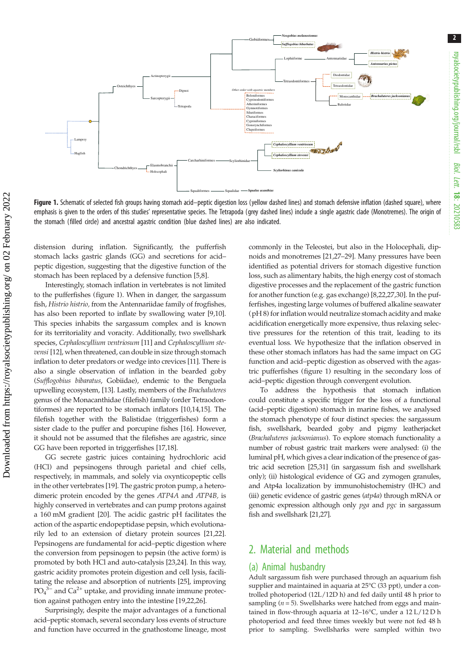

Figure 1. Schematic of selected fish groups having stomach acid-peptic digestion loss (yellow dashed lines) and stomach defensive inflation (dashed square), where emphasis is given to the orders of this studies' representative species. The Tetrapoda (grey dashed lines) include a single agastric clade (Monotremes). The origin of the stomach (filled circle) and ancestral agastric condition (blue dashed lines) are also indicated.

distension during inflation. Significantly, the pufferfish stomach lacks gastric glands (GG) and secretions for acid– peptic digestion, suggesting that the digestive function of the stomach has been replaced by a defensive function [[5,8\]](#page-5-0).

Interestingly, stomach inflation in vertebrates is not limited to the pufferfishes (figure 1). When in danger, the sargassum fish, Histrio histrio, from the Antennariidae family of frogfishes, has also been reported to inflate by swallowing water [\[9](#page-5-0),[10](#page-5-0)]. This species inhabits the sargassum complex and is known for its territoriality and voracity. Additionally, two swellshark species, Cephaloscyllium ventriosum [[11](#page-5-0)] and Cephaloscyllium stevensi [[12\]](#page-5-0), when threatened, can double in size through stomach inflation to deter predators or wedge into crevices [[11](#page-5-0)]. There is also a single observation of inflation in the bearded goby (Sufflogobius bibaratus, Gobiidae), endemic to the Benguela upwelling ecosystem, [[13](#page-5-0)]. Lastly, members of the Brachaluteres genus of the Monacanthidae (filefish) family (order Tetraodontiformes) are reported to be stomach inflators [[10](#page-5-0),[14,15](#page-5-0)]. The filefish together with the Balistidae (triggerfishes) form a sister clade to the puffer and porcupine fishes [\[16](#page-5-0)]. However, it should not be assumed that the filefishes are agastric, since GG have been reported in triggerfishes [\[17,18](#page-5-0)].

GG secrete gastric juices containing hydrochloric acid (HCl) and pepsinogens through parietal and chief cells, respectively, in mammals, and solely via oxynticopeptic cells in the other vertebrates [\[19](#page-5-0)]. The gastric proton pump, a heterodimeric protein encoded by the genes ATP4A and ATP4B, is highly conserved in vertebrates and can pump protons against a 160 mM gradient [\[20](#page-5-0)]. The acidic gastric pH facilitates the action of the aspartic endopeptidase pepsin, which evolutionarily led to an extension of dietary protein sources [\[21,22](#page-5-0)]. Pepsinogens are fundamental for acid–peptic digestion where the conversion from pepsinogen to pepsin (the active form) is promoted by both HCl and auto-catalysis [[23,24\]](#page-5-0). In this way, gastric acidity promotes protein digestion and cell lysis, facilitating the release and absorption of nutrients [[25\]](#page-5-0), improving  $PO<sub>4</sub><sup>3–</sup>$  and  $Ca<sup>2+</sup>$  uptake, and providing innate immune protection against pathogen entry into the intestine [\[19,22,26](#page-5-0)].

Surprisingly, despite the major advantages of a functional acid–peptic stomach, several secondary loss events of structure and function have occurred in the gnathostome lineage, most commonly in the Teleostei, but also in the Holocephali, dipnoids and monotremes [[21,27](#page-5-0)–[29](#page-5-0)]. Many pressures have been identified as potential drivers for stomach digestive function loss, such as alimentary habits, the high energy cost of stomach digestive processes and the replacement of the gastric function for another function (e.g. gas exchange) [[8,22,27](#page-5-0),[30](#page-5-0)]. In the pufferfishes, ingesting large volumes of buffered alkaline seawater (pH 8) for inflation would neutralize stomach acidity and make acidification energetically more expensive, thus relaxing selective pressures for the retention of this trait, leading to its eventual loss. We hypothesize that the inflation observed in these other stomach inflators has had the same impact on GG function and acid–peptic digestion as observed with the agastric pufferfishes (figure 1) resulting in the secondary loss of acid–peptic digestion through convergent evolution.

To address the hypothesis that stomach inflation could constitute a specific trigger for the loss of a functional (acid–peptic digestion) stomach in marine fishes, we analysed the stomach phenotype of four distinct species: the sargassum fish, swellshark, bearded goby and pigmy leatherjacket (Brachaluteres jacksonianus). To explore stomach functionality a number of robust gastric trait markers were analysed: (i) the luminal pH, which gives a clear indication of the presence of gastric acid secretion [[25,31](#page-5-0)] (in sargassum fish and swellshark only); (ii) histological evidence of GG and zymogen granules, and Atp4a localization by immunohistochemistry (IHC) and (iii) genetic evidence of gastric genes (atp4a) through mRNA or genomic expression although only pga and pgc in sargassum fish and swellshark [\[21,27](#page-5-0)].

## 2. Material and methods

### (a) Animal husbandry

Adult sargassum fish were purchased through an aquarium fish supplier and maintained in aquaria at 25°C (33 ppt), under a controlled photoperiod (12L/12D h) and fed daily until 48 h prior to sampling ( $n = 5$ ). Swellsharks were hatched from eggs and maintained in flow-through aquaria at 12–16°C, under a 12 L/12 D h photoperiod and feed three times weekly but were not fed 48 h prior to sampling. Swellsharks were sampled within two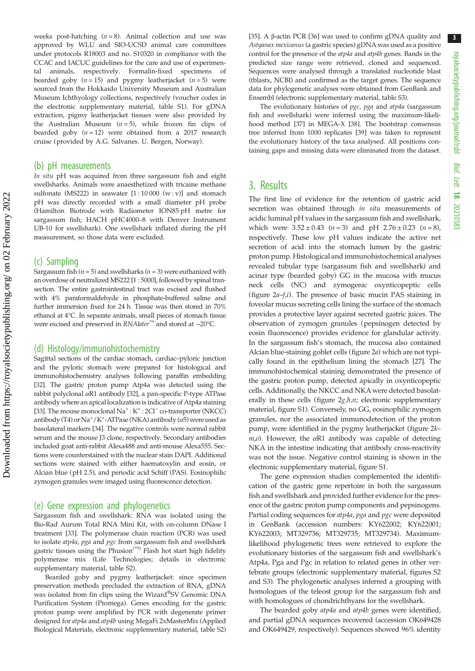weeks post-hatching  $(n = 8)$ . Animal collection and use was approved by WLU and SIO-UCSD animal care committees under protocols R18003 and no. S10320 in compliance with the CCAC and IACUC guidelines for the care and use of experimental animals, respectively. Formalin-fixed specimens of bearded goby  $(n = 15)$  and pygmy leatherjacket  $(n = 5)$  were sourced from the Hokkaido University Museum and Australian Museum Ichthyology collections, respectively (voucher codes in the electronic supplementary material, table S1). For gDNA extraction, pigmy leatherjacket tissues were also provided by the Australian Museum  $(n = 5)$ , while frozen fin clips of bearded goby  $(n = 12)$  were obtained from a 2017 research cruise (provided by A.G. Salvanes. U. Bergen, Norway).

#### (b) pH measurements

In situ pH was acquired from three sargassum fish and eight swellsharks. Animals were anaesthetized with tricaine methane sulfonate (MS222) in seawater  $[1:10000 (w:v)]$  and stomach pH was directly recorded with a small diameter pH probe (Hamilton Biotrode with Radiometer ION85 pH metre for sargassum fish; HACH pHC4000–8 with Denver Instrument UB-10 for swellshark). One swellshark inflated during the pH measurement, so those data were excluded.

#### (c) Sampling

Sargassum fish ( $n = 5$ ) and swellsharks ( $n = 3$ ) were euthanized with an overdose of neutralized MS222 [1 : 5000], followed by spinal transection. The entire gastrointestinal tract was excised and flushed with 4% paraformaldehyde in phosphate-buffered saline and further immersion fixed for 24 h. Tissue was then stored in 70% ethanol at 4°C. In separate animals, small pieces of stomach tissue were excised and preserved in RNAlater<sup>™</sup> and stored at -20°C.

#### (d) Histology/immunohistochemistry

Sagittal sections of the cardiac stomach, cardiac–pyloric junction and the pyloric stomach were prepared for histological and immunohistochemistry analyses following paraffin embedding [\[32\]](#page-5-0). The gastric proton pump Atp4a was detected using the rabbit polyclonal αR1 antibody [\[32](#page-5-0)], a pan-specific P-type ATPase antibody where an apical localization is indicative of Atp4a staining [\[33\]](#page-5-0). The mouse monoclonal Na<sup>+</sup>: K<sup>+</sup>: 2Cl<sup>−</sup> co-transporter (NKCC) antibody (T4) or  $\mathrm{Na^+}/\mathrm{K^+}$ -ATPase (NKA) antibody ( $\alpha$ 5) were used as basolateral markers [\[34\]](#page-5-0). The negative controls were normal rabbit serum and the mouse J3 clone, respectively. Secondary antibodies included goat anti-rabbit Alexa488 and anti-mouse Alexa555. Sections were counterstained with the nuclear stain DAPI. Additional sections were stained with either haematoxylin and eosin, or Alcian blue (pH 2.5), and periodic acid Schiff (PAS). Eosinophilic zymogen granules were imaged using fluorescence detection.

#### (e) Gene expression and phylogenetics

Sargassum fish and swellshark: RNA was isolated using the Bio-Rad Aurum Total RNA Mini Kit, with on-column DNase I treatment [[33](#page-5-0)]. The polymerase chain reaction (PCR) was used to isolate *atp4a, pga* and *pgc* from sargassum fish and swellshark gastric tissues using the Phusion<sup>(™)</sup> Flash hot start high fidelity polymerase mix (Life Technologies; details in electronic supplementary material, table S2).

Bearded goby and pygmy leatherjacket: since specimen preservation methods precluded the extraction of RNA, gDNA was isolated from fin clips using the Wizard®SV Genomic DNA Purification System (Promega). Genes encoding for the gastric proton pump were amplified by PCR with degenerate primer designed for atp4a and atp4b using MegaFi 2xMasterMix (Applied Biological Materials, electronic supplementary material, table S2)

[[35](#page-5-0)]. A β-actin PCR [\[36\]](#page-5-0) was used to confirm gDNA quality and Astyanax mexicanus (a gastric species) gDNA was used as a positive control for the presence of the atp4a and atp4b genes. Bands in the predicted size range were retrieved, cloned and sequenced. Sequences were analysed through a translated nucleotide blast (tblastx, NCBI) and confirmed as the target genes. The sequence data for phylogenetic analyses were obtained from GenBank and Ensembl (electronic supplementary material, table S3).

The evolutionary histories of pgc, pga and atp4a (sargassum fish and swellshark) were inferred using the maximum-likelihood method [\[37\]](#page-5-0) in MEGA-X [[38](#page-5-0)]. The bootstrap consensus tree inferred from 1000 replicates [\[39\]](#page-5-0) was taken to represent the evolutionary history of the taxa analysed. All positions containing gaps and missing data were eliminated from the dataset.

## 3. Results

The first line of evidence for the retention of gastric acid secretion was obtained through in situ measurements of acidic luminal pH values in the sargassum fish and swellshark, which were  $3.52 \pm 0.43$  (*n* = 3) and pH  $2.76 \pm 0.23$  (*n* = 8), respectively. These low pH values indicate the active net secretion of acid into the stomach lumen by the gastric proton pump. Histological and immunohistochemical analyses revealed tubular type (sargassum fish and swellshark) and acinar type (bearded goby) GG in the mucosa with mucus neck cells (NC) and zymogenic oxynticopeptic cells (figure  $2a-f_i$ ). The presence of basic mucin PAS staining in foveolar mucus secreting cells lining the surface of the stomach provides a protective layer against secreted gastric juices. The observation of zymogen granules (pepsinogen detected by eosin fluorescence) provides evidence for glandular activity. In the sargassum fish's stomach, the mucosa also contained Alcian blue-staining goblet cells [\(figure 2](#page-3-0)a) which are not typically found in the epithelium lining the stomach [[27\]](#page-5-0). The immunohistochemical staining demonstrated the presence of the gastric proton pump, detected apically in oxynticopeptic cells. Additionally, the NKCC and NKA were detected basolaterally in these cells (figure  $2g,h,n$ ; electronic supplementary material, figure S1). Conversely, no GG, eosinophilic zymogen granules, nor the associated immunodetection of the proton pump, were identified in the pygmy leatherjacket [\(figure 2](#page-3-0)k–  $m, o$ ). However, the  $\alpha$ R1 antibody was capable of detecting NKA in the intestine indicating that antibody cross-reactivity was not the issue. Negative control staining is shown in the electronic supplementary material, figure S1.

The gene expression studies complemented the identification of the gastric gene repertoire in both the sargassum fish and swellshark and provided further evidence for the presence of the gastric proton pump components and pepsinogens. Partial coding sequences for atp4a, pga and pgc were deposited in GenBank (accession numbers: KY622002; KY622001; KY622003; MT329736; MT329735; MT329734). Maximumlikelihood phylogenetic trees were retrieved to explore the evolutionary histories of the sargassum fish and swellshark's Atp4a, Pga and Pgc in relation to related genes in other vertebrate groups (electronic supplementary material, figures S2 and S3). The phylogenetic analyses inferred a grouping with homologues of the teleost group for the sargassum fish and with homologues of chondrichthyans for the swellshark.

The bearded goby atp4a and atp4b genes were identified, and partial gDNA sequences recovered (accession OK649428 and OK649429, respectively). Sequences showed 96% identity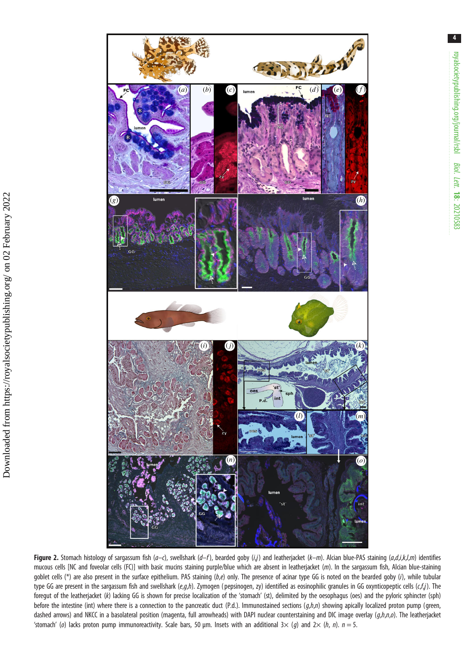<span id="page-3-0"></span>

Figure 2. Stomach histology of sargassum fish (a-c), swellshark (d-f), bearded goby (i,j) and leatherjacket (k-m). Alcian blue-PAS staining (a,d,i,k,l,m) identifies mucous cells [NC and foveolar cells (FC)] with basic mucins staining purple/blue which are absent in leatherjacket (m). In the sargassum fish, Alcian blue-staining goblet cells (\*) are also present in the surface epithelium. PAS staining  $(b,e)$  only. The presence of acinar type GG is noted on the bearded goby (i), while tubular type GG are present in the sargassum fish and swellshark (e,g,h). Zymogen (pepsinogen, zy) identified as eosinophilic granules in GG oxynticopeptic cells (c,f,j). The foregut of the leatherjacket (k) lacking GG is shown for precise localization of the 'stomach' (st), delimited by the oesophagus (oes) and the pyloric sphincter (sph) before the intestine (int) where there is a connection to the pancreatic duct (P.d.). Immunostained sections  $(g,h,n)$  showing apically localized proton pump (green, dashed arrows) and NKCC in a basolateral position (magenta, full arrowheads) with DAPI nuclear counterstaining and DIC image overlay (g,h,n,o). The leatherjacket 'stomach' (o) lacks proton pump immunoreactivity. Scale bars, 50 µm. Insets with an additional  $3 \times (g)$  and  $2 \times (h, n)$ .  $n = 5$ .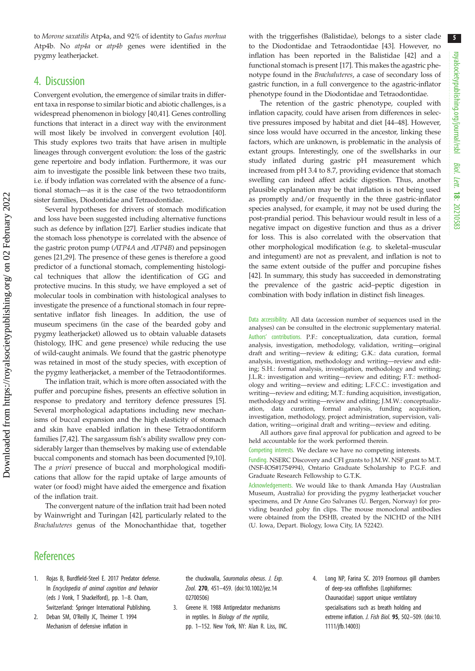<span id="page-4-0"></span>to Morone saxatilis Atp4a, and 92% of identity to Gadus morhua Atp4b. No atp4a or atp4b genes were identified in the pygmy leatherjacket.

## 4. Discussion

Convergent evolution, the emergence of similar traits in different taxa in response to similar biotic and abiotic challenges, is a widespread phenomenon in biology [\[40,41](#page-5-0)]. Genes controlling functions that interact in a direct way with the environment will most likely be involved in convergent evolution [\[40](#page-5-0)]. This study explores two traits that have arisen in multiple lineages through convergent evolution: the loss of the gastric gene repertoire and body inflation. Furthermore, it was our aim to investigate the possible link between these two traits, i.e. if body inflation was correlated with the absence of a functional stomach—as it is the case of the two tetraodontiform sister families, Diodontidae and Tetraodontidae.

Several hypotheses for drivers of stomach modification and loss have been suggested including alternative functions such as defence by inflation [\[27](#page-5-0)]. Earlier studies indicate that the stomach loss phenotype is correlated with the absence of the gastric proton pump (ATP4A and ATP4B) and pepsinogen genes [\[21](#page-5-0),[29](#page-5-0)]. The presence of these genes is therefore a good predictor of a functional stomach, complementing histological techniques that allow the identification of GG and protective mucins. In this study, we have employed a set of molecular tools in combination with histological analyses to investigate the presence of a functional stomach in four representative inflator fish lineages. In addition, the use of museum specimens (in the case of the bearded goby and pygmy leatherjacket) allowed us to obtain valuable datasets (histology, IHC and gene presence) while reducing the use of wild-caught animals. We found that the gastric phenotype was retained in most of the study species, with exception of the pygmy leatherjacket, a member of the Tetraodontiformes.

The inflation trait, which is more often associated with the puffer and porcupine fishes, presents an effective solution in response to predatory and territory defence pressures [[5](#page-5-0)]. Several morphological adaptations including new mechanisms of buccal expansion and the high elasticity of stomach and skin have enabled inflation in these Tetraodontiform families [\[7,42](#page-5-0)]. The sargassum fish's ability swallow prey considerably larger than themselves by making use of extendable buccal components and stomach has been documented [[9,10](#page-5-0)]. The a priori presence of buccal and morphological modifications that allow for the rapid uptake of large amounts of water (or food) might have aided the emergence and fixation of the inflation trait.

The convergent nature of the inflation trait had been noted by Wainwright and Turingan [\[42](#page-5-0)], particularly related to the Brachaluteres genus of the Monochanthidae that, together with the triggerfishes (Balistidae), belongs to a sister clade to the Diodontidae and Tetraodontidae [[43\]](#page-5-0). However, no inflation has been reported in the Balistidae [\[42](#page-5-0)] and a functional stomach is present [[17\]](#page-5-0). This makes the agastric phenotype found in the Brachaluteres, a case of secondary loss of gastric function, in a full convergence to the agastric-inflator phenotype found in the Diodontidae and Tetraodontidae.

The retention of the gastric phenotype, coupled with inflation capacity, could have arisen from differences in selective pressures imposed by habitat and diet [\[44](#page-5-0)–[48\]](#page-5-0). However, since loss would have occurred in the ancestor, linking these factors, which are unknown, is problematic in the analysis of extant groups. Interestingly, one of the swellsharks in our study inflated during gastric pH measurement which increased from pH 3.4 to 8.7, providing evidence that stomach swelling can indeed affect acidic digestion. Thus, another plausible explanation may be that inflation is not being used as promptly and/or frequently in the three gastric-inflator species analysed, for example, it may not be used during the post-prandial period. This behaviour would result in less of a negative impact on digestive function and thus as a driver for loss. This is also correlated with the observation that other morphological modification (e.g. to skeletal–muscular and integument) are not as prevalent, and inflation is not to the same extent outside of the puffer and porcupine fishes [[42\]](#page-5-0). In summary, this study has succeeded in demonstrating the prevalence of the gastric acid–peptic digestion in combination with body inflation in distinct fish lineages.

Data accessibility. All data (accession number of sequences used in the analyses) can be consulted in the electronic supplementary material. Authors' contributions. P.F.: conceptualization, data curation, formal analysis, investigation, methodology, validation, writing—original draft and writing—review & editing; G.K.: data curation, formal analysis, investigation, methodology and writing—review and editing; S.H.: formal analysis, investigation, methodology and writing; J.L.R.: investigation and writing—review and editing; F.T.: methodology and writing—review and editing; L.F.C.C.: investigation and writing—review and editing; M.T.: funding acquisition, investigation, methodology and writing—review and editing; J.M.W.: conceptualization, data curation, formal analysis, funding acquisition, investigation, methodology, project administration, supervision, validation, writing—original draft and writing—review and editing.

All authors gave final approval for publication and agreed to be held accountable for the work performed therein.

Competing interests. We declare we have no competing interests.

Funding. NSERC Discovery and CFI grants to J.M.W. NSF grant to M.T. (NSF-IOS#1754994), Ontario Graduate Scholarship to P.G.F. and Graduate Research Fellowship to G.T.K.

Acknowledgements. We would like to thank Amanda Hay (Australian Museum, Australia) for providing the pygmy leatherjacket voucher specimens, and Dr Anne Gro Salvanes (U. Bergen, Norway) for providing bearded goby fin clips. The mouse monoclonal antibodies were obtained from the DSHB, created by the NICHD of the NIH (U. Iowa, Depart. Biology, Iowa City, IA 52242).

## **References**

- 1. Rojas B, Burdfield-Steel E. 2017 Predator defense. In Encyclopedia of animal cognition and behavior (eds J Vonk, T Shackelford), pp. 1–8. Cham, Switzerland: Springer International Publishing.
- 2. Deban SM, O'Reilly JC, Theimer T. 1994 Mechanism of defensive inflation in

the chuckwalla, Sauromalus obesus. J. Exp. Zool. 270, 451–459. [\(doi:10.1002/jez.14](http://dx.doi.org/10.1002/jez.1402700506) [02700506\)](http://dx.doi.org/10.1002/jez.1402700506)

- 3. Greene H. 1988 Antipredator mechanisms in reptiles. In Biology of the reptilia, pp. 1–152. New York, NY: Alan R. Liss, INC.
- 4. Long NP, Farina SC. 2019 Enormous gill chambers of deep-sea coffinfishes (Lophiiformes: Chaunacidae) support unique ventilatory specialisations such as breath holding and extreme inflation. J. Fish Biol. 95, 502–509. [\(doi:10.](http://dx.doi.org/10.1111/jfb.14003) [1111/jfb.14003](http://dx.doi.org/10.1111/jfb.14003))